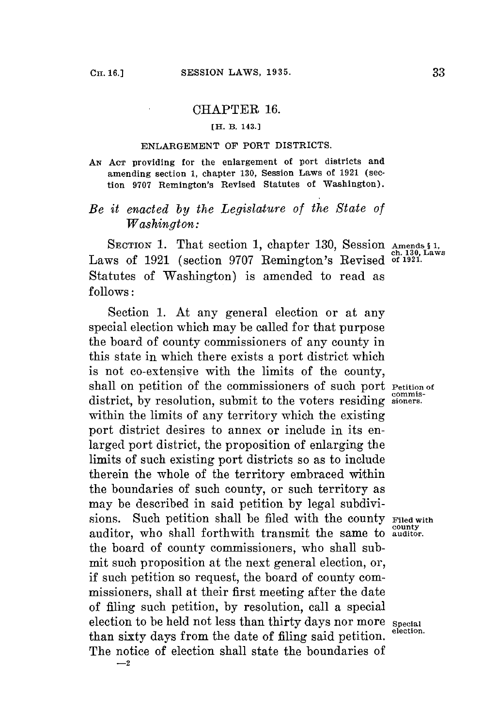## CHAPTER **16.**

## **[H. B. 143.1**

## **ENLARGEMENT OF PORT DISTRICTS.**

*AN* **ACT providing for the enlargement of port districts and amending section 1, chapter 130, Session Laws of 1921 (section 9707 Remington's Revised Statutes of Washington).**

## *Be it enacted by the Legislature of the State of Washington:*

SECTION 1. That section 1, chapter 130, Session Amends § 1,<br>Laws of 1921 (section 9707 Remington's Revised of 1921. Statutes of Washington) is amended to read as **follows:**

Section **1.** At any general election or at any special election which may be called **for** that purpose the board **of** county commissioners of any county in this state in which there exists a port district which is not co-extensive with the limits of the county, shall on petition of the commissioners of such port **Petition** of **commis-** district, **by** resolution, submit to the voters residing **sioners.** within the limits of any territory which the existing port district desires to annex or include in its enlarged port district, the proposition of enlarging the limits of such existing port districts so as to include therein the whole of the territory embraced within the boundaries of such county, or such territory as may be described in said petition **by** legal subdivisions. Such petition shall be filed with the county **Filed with** auditor, who shall forthwith transmit the same to **auditor.** the board of county commissioners, who shall submit such proposition at the next general election, or, if such petition so request, the board of county commissioners, shall at their first meeting after the date of filing such petition, **by** resolution, call a special election to be held not less than thirty days nor more **Special** than sixty days from the date of filing said petition. The notice of election shall state the boundaries of **-2**